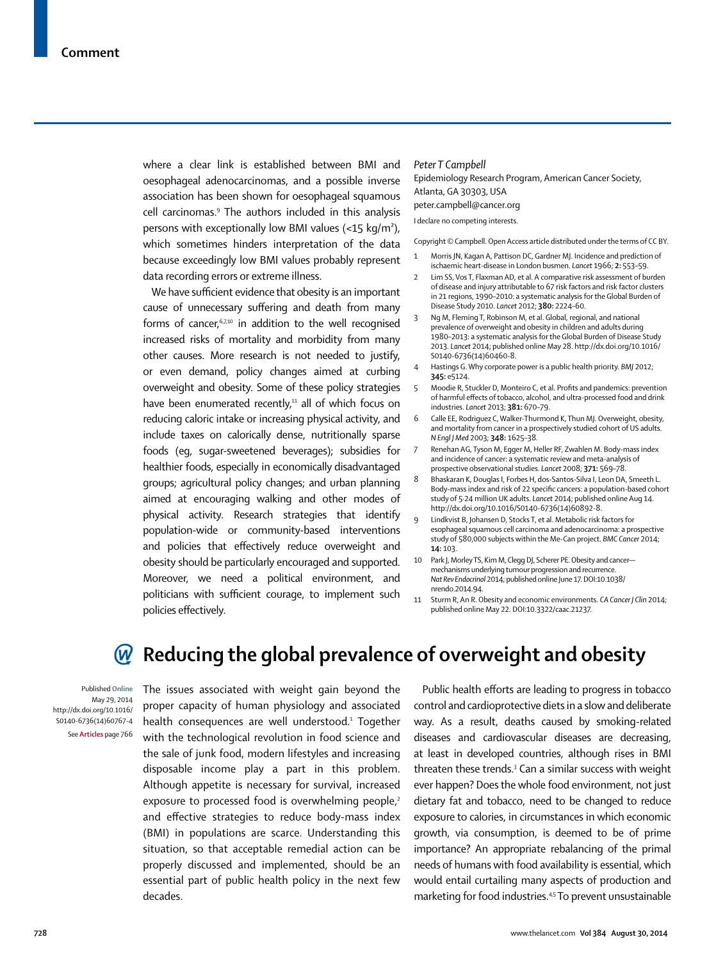where a clear link is established between BMI and oesophageal adenocarcinomas, and a possible inverse association has been shown for oesophageal squamous cell carcinomas.9 The authors included in this analysis persons with exceptionally low BMI values (<15 kg/m²), which sometimes hinders interpretation of the data because exceedingly low BMI values probably represent data recording errors or extreme illness.

We have sufficient evidence that obesity is an important cause of unnecessary suffering and death from many forms of cancer, $67,10$  in addition to the well recognised increased risks of mortality and morbidity from many other causes. More research is not needed to justify, or even demand, policy changes aimed at curbing overweight and obesity. Some of these policy strategies have been enumerated recently, $11$  all of which focus on reducing caloric intake or increasing physical activity, and include taxes on calorically dense, nutritionally sparse foods (eg, sugar-sweetened beverages); subsidies for healthier foods, especially in economically disadvantaged groups; agricultural policy changes; and urban planning aimed at encouraging walking and other modes of physical activity. Research strategies that identify population-wide or community-based interventions and policies that effectively reduce overweight and obesity should be particularly encouraged and supported. Moreover, we need a political environment, and politicians with sufficient courage, to implement such policies effectively.

## *Peter T Campbell*

Epidemiology Research Program, American Cancer Society, Atlanta, GA 30303, USA peter.campbell@cancer.org

I declare no competing interests.

Copyright © Campbell. Open Access article distributed under the terms of CC BY.

- 1 Morris JN, Kagan A, Pattison DC, Gardner MJ. Incidence and prediction of ischaemic heart-disease in London busmen. *Lancet* 1966; **2:** 553–59.
- 2 Lim SS, Vos T, Flaxman AD, et al. A comparative risk assessment of burden of disease and injury attributable to 67 risk factors and risk factor clusters in 21 regions, 1990–2010: a systematic analysis for the Global Burden of Disease Study 2010. *Lancet* 2012; **380:** 2224–60.
- 3 Ng M, Fleming T, Robinson M, et al. Global, regional, and national prevalence of overweight and obesity in children and adults during 1980–2013: a systematic analysis for the Global Burden of Disease Study 2013. *Lancet* 2014; published online May 28. http://dx.doi.org/10.1016/ S0140-6736(14)60460-8.
- 4 Hastings G. Why corporate power is a public health priority. *BMJ* 2012; **345:** e5124.
- 5 Moodie R, Stuckler D, Monteiro C, et al. Profi ts and pandemics: prevention of harmful effects of tobacco, alcohol, and ultra-processed food and drink industries. *Lancet* 2013; **381:** 670–79.
- 6 Calle EE, Rodriguez C, Walker-Thurmond K, Thun MJ. Overweight, obesity, and mortality from cancer in a prospectively studied cohort of US adults. *N Engl J Med* 2003; **348:** 1625–38.
- 7 Renehan AG, Tyson M, Egger M, Heller RF, Zwahlen M. Body-mass index and incidence of cancer: a systematic review and meta-analysis of prospective observational studies. *Lancet* 2008; **371:** 569–78.
- 8 Bhaskaran K, Douglas I, Forbes H, dos-Santos-Silva I, Leon DA, Smeeth L. Body-mass index and risk of 22 specific cancers: a population-based cohort study of 5·24 million UK adults. *Lancet* 2014; published online Aug 14. http://dx.doi.org/10.1016/S0140-6736(14)60892-8.
- 9 Lindkvist B, Johansen D, Stocks T, et al. Metabolic risk factors for esophageal squamous cell carcinoma and adenocarcinoma: a prospective study of 580,000 subjects within the Me-Can project. *BMC Cancer* 2014; **14:** 103.
- 10 Park J, Morley TS, Kim M, Clegg DJ, Scherer PE. Obesity and cancer mechanisms underlying tumour progression and recurrenc *Nat Rev Endocrinol* 2014; published online June 17. DOI:10.1038/ nrendo.2014.94.
- 11 Sturm R, An R. Obesity and economic environments. *CA Cancer J Clin* 2014; published online May 22. DOI:10.3322/caac.21237.

## **Reducing the global prevalence of overweight and obesity** (W

Published **Online** May 29, 2014 http://dx.doi.org/10.1016/ S0140-6736(14)60767-4 See **Articles** page 766

The issues associated with weight gain beyond the proper capacity of human physiology and associated health consequences are well understood.<sup>1</sup> Together with the technological revolution in food science and the sale of junk food, modern lifestyles and increasing disposable income play a part in this problem. Although appetite is necessary for survival, increased exposure to processed food is overwhelming people,<sup>2</sup> and effective strategies to reduce body-mass index (BMI) in populations are scarce. Understanding this situation, so that acceptable remedial action can be properly discussed and implemented, should be an essential part of public health policy in the next few decades.

Public health efforts are leading to progress in tobacco control and cardioprotective diets in a slow and deliberate way. As a result, deaths caused by smoking-related diseases and cardiovascular diseases are decreasing, at least in developed countries, although rises in BMI threaten these trends.<sup>3</sup> Can a similar success with weight ever happen? Does the whole food environment, not just dietary fat and tobacco, need to be changed to reduce exposure to calories, in circumstances in which economic growth, via consumption, is deemed to be of prime importance? An appropriate rebalancing of the primal needs of humans with food availability is essential, which would entail curtailing many aspects of production and marketing for food industries.4,5 To prevent unsustainable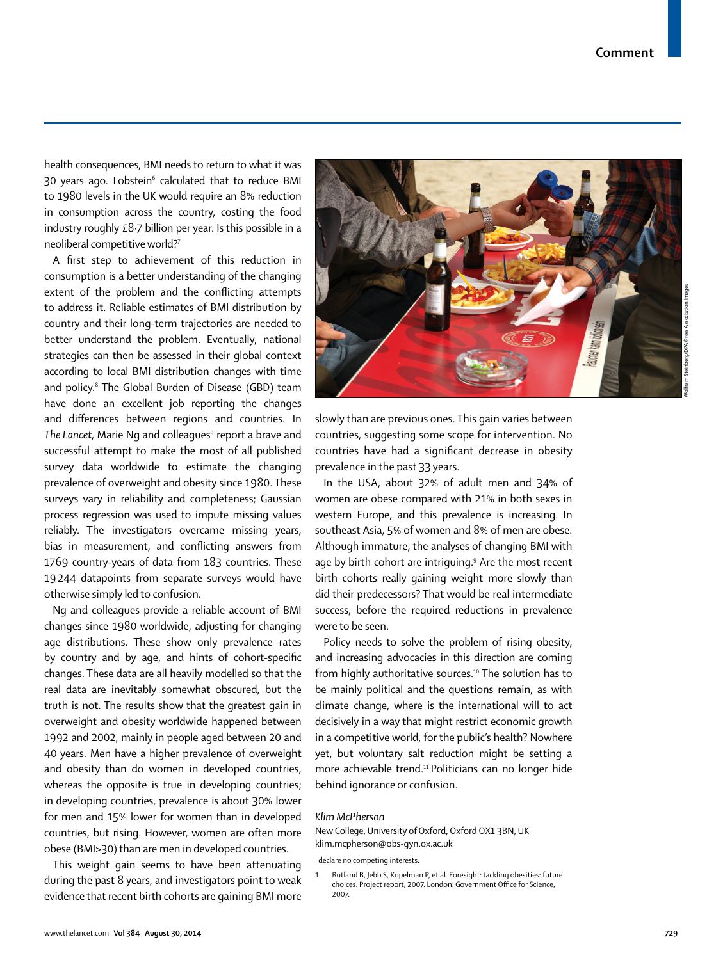health consequences, BMI needs to return to what it was 30 years ago. Lobstein $^{\rm 6}$  calculated that to reduce BMI to 1980 levels in the UK would require an 8% reduction in consumption across the country, costing the food industry roughly £8·7 billion per year. Is this possible in a neoliberal competitive world?<sup>7</sup>

A first step to achievement of this reduction in consumption is a better understanding of the changing extent of the problem and the conflicting attempts to address it. Reliable estimates of BMI distribution by country and their long-term trajectories are needed to better understand the problem. Eventually, national strategies can then be assessed in their global context according to local BMI distribution changes with time and policy.8 The Global Burden of Disease (GBD) team have done an excellent job reporting the changes and differences between regions and countries. In The Lancet, Marie Ng and colleagues<sup>9</sup> report a brave and successful attempt to make the most of all published survey data worldwide to estimate the changing prevalence of overweight and obesity since 1980. These surveys vary in reliability and completeness; Gaussian process regression was used to impute missing values reliably. The investigators overcame missing years, bias in measurement, and conflicting answers from 1769 country-years of data from 183 countries. These 19 244 datapoints from separate surveys would have otherwise simply led to confusion.

Ng and colleagues provide a reliable account of BMI changes since 1980 worldwide, adjusting for changing age distributions. These show only prevalence rates by country and by age, and hints of cohort-specific changes. These data are all heavily modelled so that the real data are inevitably somewhat obscured, but the truth is not. The results show that the greatest gain in overweight and obesity worldwide happened between 1992 and 2002, mainly in people aged between 20 and 40 years. Men have a higher prevalence of overweight and obesity than do women in developed countries, whereas the opposite is true in developing countries; in developing countries, prevalence is about 30% lower for men and 15% lower for women than in developed countries, but rising. However, women are often more obese (BMI>30) than are men in developed countries.

This weight gain seems to have been attenuating during the past 8 years, and investigators point to weak evidence that recent birth cohorts are gaining BMI more



slowly than are previous ones. This gain varies between countries, suggesting some scope for intervention. No countries have had a significant decrease in obesity prevalence in the past 33 years.

In the USA, about 32% of adult men and 34% of women are obese compared with 21% in both sexes in western Europe, and this prevalence is increasing. In southeast Asia, 5% of women and 8% of men are obese. Although immature, the analyses of changing BMI with age by birth cohort are intriguing.9 Are the most recent birth cohorts really gaining weight more slowly than did their predecessors? That would be real intermediate success, before the required reductions in prevalence were to be seen.

Policy needs to solve the problem of rising obesity, and increasing advocacies in this direction are coming from highly authoritative sources.<sup>10</sup> The solution has to be mainly political and the questions remain, as with climate change, where is the international will to act decisively in a way that might restrict economic growth in a competitive world, for the public's health? Nowhere yet, but voluntary salt reduction might be setting a more achievable trend.11 Politicians can no longer hide behind ignorance or confusion.

## *Klim McPherson*

New College, University of Oxford, Oxford OX1 3BN, UK klim.mcpherson@obs-gyn.ox.ac.uk

I declare no competing interests.

1 Butland B, Jebb S, Kopelman P, et al. Foresight: tackling obesities: future choices. Project report, 2007. London: Government Office for Science, 2007.